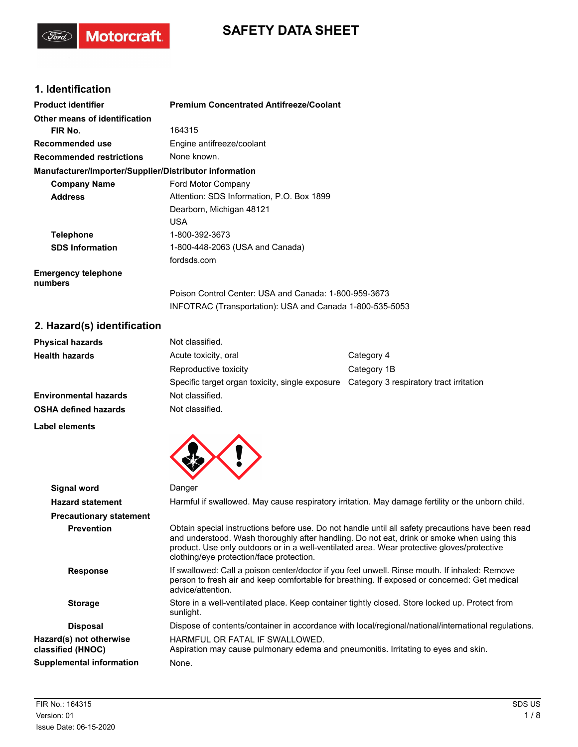# **SAFETY DATA SHEET**

## **1. Identification**

(Ford)

Motorcraft.

| <b>Product identifier</b>                              | <b>Premium Concentrated Antifreeze/Coolant</b>           |
|--------------------------------------------------------|----------------------------------------------------------|
| Other means of identification                          |                                                          |
| FIR No.                                                | 164315                                                   |
| Recommended use                                        | Engine antifreeze/coolant                                |
| <b>Recommended restrictions</b>                        | None known.                                              |
| Manufacturer/Importer/Supplier/Distributor information |                                                          |
| <b>Company Name</b>                                    | Ford Motor Company                                       |
| <b>Address</b>                                         | Attention: SDS Information, P.O. Box 1899                |
|                                                        | Dearborn, Michigan 48121                                 |
|                                                        | <b>USA</b>                                               |
| <b>Telephone</b>                                       | 1-800-392-3673                                           |
| <b>SDS Information</b>                                 | 1-800-448-2063 (USA and Canada)                          |
|                                                        | fordsds.com                                              |
| <b>Emergency telephone</b><br>numbers                  |                                                          |
|                                                        | Poison Control Center: USA and Canada: 1-800-959-3673    |
|                                                        | INFOTRAC (Transportation): USA and Canada 1-800-535-5053 |

## **2. Hazard(s) identification**

| <b>Physical hazards</b>      | Not classified.                                 |                                         |  |
|------------------------------|-------------------------------------------------|-----------------------------------------|--|
| <b>Health hazards</b>        | Acute toxicity, oral                            | Category 4                              |  |
|                              | Reproductive toxicity                           | Category 1B                             |  |
|                              | Specific target organ toxicity, single exposure | Category 3 respiratory tract irritation |  |
| <b>Environmental hazards</b> | Not classified.                                 |                                         |  |
| <b>OSHA defined hazards</b>  | Not classified.                                 |                                         |  |
|                              |                                                 |                                         |  |

**Label elements**



| Harmful if swallowed. May cause respiratory irritation. May damage fertility or the unborn child.<br><b>Hazard statement</b><br><b>Precautionary statement</b>                                                                                                                                                                                                 |  |
|----------------------------------------------------------------------------------------------------------------------------------------------------------------------------------------------------------------------------------------------------------------------------------------------------------------------------------------------------------------|--|
|                                                                                                                                                                                                                                                                                                                                                                |  |
|                                                                                                                                                                                                                                                                                                                                                                |  |
| Obtain special instructions before use. Do not handle until all safety precautions have been read<br><b>Prevention</b><br>and understood. Wash thoroughly after handling. Do not eat, drink or smoke when using this<br>product. Use only outdoors or in a well-ventilated area. Wear protective gloves/protective<br>clothing/eye protection/face protection. |  |
| If swallowed: Call a poison center/doctor if you feel unwell. Rinse mouth. If inhaled: Remove<br><b>Response</b><br>person to fresh air and keep comfortable for breathing. If exposed or concerned: Get medical<br>advice/attention.                                                                                                                          |  |
| Store in a well-ventilated place. Keep container tightly closed. Store locked up. Protect from<br><b>Storage</b><br>sunlight.                                                                                                                                                                                                                                  |  |
| Dispose of contents/container in accordance with local/regional/national/international regulations.<br><b>Disposal</b>                                                                                                                                                                                                                                         |  |
| Hazard(s) not otherwise<br>HARMFUL OR FATAL IF SWALLOWED.<br>Aspiration may cause pulmonary edema and pneumonitis. Irritating to eyes and skin.<br>classified (HNOC)                                                                                                                                                                                           |  |
| <b>Supplemental information</b><br>None.                                                                                                                                                                                                                                                                                                                       |  |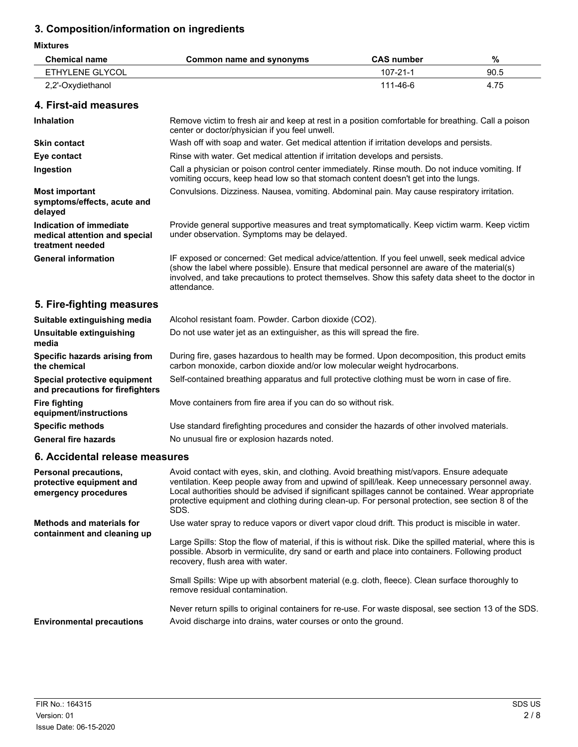| <b>Mixtures</b>                                                              |                                                                                                                                                                                                                                                                                                                                                                                                              |                   |      |
|------------------------------------------------------------------------------|--------------------------------------------------------------------------------------------------------------------------------------------------------------------------------------------------------------------------------------------------------------------------------------------------------------------------------------------------------------------------------------------------------------|-------------------|------|
| <b>Chemical name</b>                                                         | <b>Common name and synonyms</b>                                                                                                                                                                                                                                                                                                                                                                              | <b>CAS number</b> | $\%$ |
| <b>ETHYLENE GLYCOL</b>                                                       |                                                                                                                                                                                                                                                                                                                                                                                                              | $107 - 21 - 1$    | 90.5 |
| 2,2'-Oxydiethanol                                                            |                                                                                                                                                                                                                                                                                                                                                                                                              | 111-46-6          | 4.75 |
| 4. First-aid measures                                                        |                                                                                                                                                                                                                                                                                                                                                                                                              |                   |      |
| <b>Inhalation</b>                                                            | Remove victim to fresh air and keep at rest in a position comfortable for breathing. Call a poison<br>center or doctor/physician if you feel unwell.                                                                                                                                                                                                                                                         |                   |      |
| <b>Skin contact</b>                                                          | Wash off with soap and water. Get medical attention if irritation develops and persists.                                                                                                                                                                                                                                                                                                                     |                   |      |
| Eye contact                                                                  | Rinse with water. Get medical attention if irritation develops and persists.                                                                                                                                                                                                                                                                                                                                 |                   |      |
| Ingestion                                                                    | Call a physician or poison control center immediately. Rinse mouth. Do not induce vomiting. If<br>vomiting occurs, keep head low so that stomach content doesn't get into the lungs.                                                                                                                                                                                                                         |                   |      |
| <b>Most important</b><br>symptoms/effects, acute and<br>delayed              | Convulsions. Dizziness. Nausea, vomiting. Abdominal pain. May cause respiratory irritation.                                                                                                                                                                                                                                                                                                                  |                   |      |
| Indication of immediate<br>medical attention and special<br>treatment needed | Provide general supportive measures and treat symptomatically. Keep victim warm. Keep victim<br>under observation. Symptoms may be delayed.                                                                                                                                                                                                                                                                  |                   |      |
| <b>General information</b>                                                   | IF exposed or concerned: Get medical advice/attention. If you feel unwell, seek medical advice<br>(show the label where possible). Ensure that medical personnel are aware of the material(s)<br>involved, and take precautions to protect themselves. Show this safety data sheet to the doctor in<br>attendance.                                                                                           |                   |      |
| 5. Fire-fighting measures                                                    |                                                                                                                                                                                                                                                                                                                                                                                                              |                   |      |
| Suitable extinguishing media                                                 | Alcohol resistant foam. Powder. Carbon dioxide (CO2).                                                                                                                                                                                                                                                                                                                                                        |                   |      |
| Unsuitable extinguishing<br>media                                            | Do not use water jet as an extinguisher, as this will spread the fire.                                                                                                                                                                                                                                                                                                                                       |                   |      |
| Specific hazards arising from<br>the chemical                                | During fire, gases hazardous to health may be formed. Upon decomposition, this product emits<br>carbon monoxide, carbon dioxide and/or low molecular weight hydrocarbons.                                                                                                                                                                                                                                    |                   |      |
| Special protective equipment<br>and precautions for firefighters             | Self-contained breathing apparatus and full protective clothing must be worn in case of fire.                                                                                                                                                                                                                                                                                                                |                   |      |
| <b>Fire fighting</b><br>equipment/instructions                               | Move containers from fire area if you can do so without risk.                                                                                                                                                                                                                                                                                                                                                |                   |      |
| <b>Specific methods</b>                                                      | Use standard firefighting procedures and consider the hazards of other involved materials.                                                                                                                                                                                                                                                                                                                   |                   |      |
| <b>General fire hazards</b>                                                  | No unusual fire or explosion hazards noted.                                                                                                                                                                                                                                                                                                                                                                  |                   |      |
| 6. Accidental release measures                                               |                                                                                                                                                                                                                                                                                                                                                                                                              |                   |      |
| Personal precautions,<br>protective equipment and<br>emergency procedures    | Avoid contact with eyes, skin, and clothing. Avoid breathing mist/vapors. Ensure adequate<br>ventilation. Keep people away from and upwind of spill/leak. Keep unnecessary personnel away.<br>Local authorities should be advised if significant spillages cannot be contained. Wear appropriate<br>protective equipment and clothing during clean-up. For personal protection, see section 8 of the<br>SDS. |                   |      |
| <b>Methods and materials for</b>                                             | Use water spray to reduce vapors or divert vapor cloud drift. This product is miscible in water.                                                                                                                                                                                                                                                                                                             |                   |      |
| containment and cleaning up                                                  | Large Spills: Stop the flow of material, if this is without risk. Dike the spilled material, where this is<br>possible. Absorb in vermiculite, dry sand or earth and place into containers. Following product<br>recovery, flush area with water.                                                                                                                                                            |                   |      |

Small Spills: Wipe up with absorbent material (e.g. cloth, fleece). Clean surface thoroughly to remove residual contamination.

Never return spills to original containers for re-use. For waste disposal, see section 13 of the SDS. **Environmental precautions** Avoid discharge into drains, water courses or onto the ground.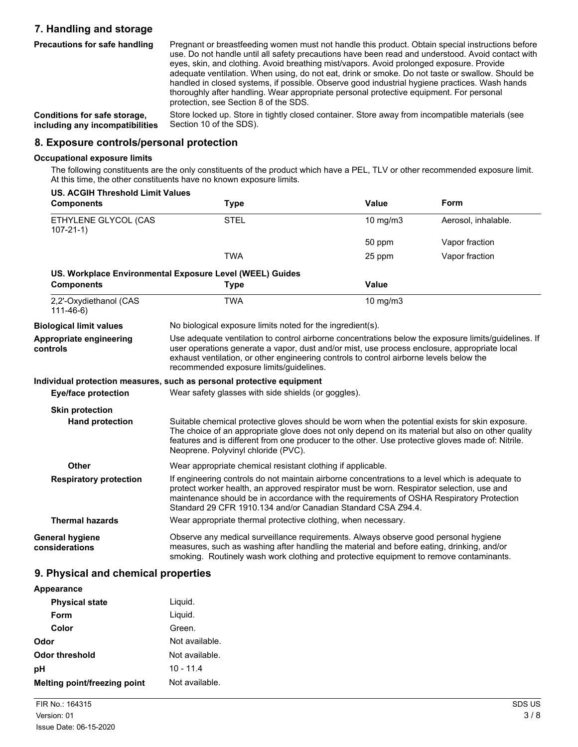## **7. Handling and storage**

| Precautions for safe handling   | Pregnant or breastfeeding women must not handle this product. Obtain special instructions before<br>use. Do not handle until all safety precautions have been read and understood. Avoid contact with<br>eyes, skin, and clothing. Avoid breathing mist/vapors. Avoid prolonged exposure. Provide<br>adequate ventilation. When using, do not eat, drink or smoke. Do not taste or swallow. Should be<br>handled in closed systems, if possible. Observe good industrial hygiene practices. Wash hands<br>thoroughly after handling. Wear appropriate personal protective equipment. For personal<br>protection, see Section 8 of the SDS. |
|---------------------------------|--------------------------------------------------------------------------------------------------------------------------------------------------------------------------------------------------------------------------------------------------------------------------------------------------------------------------------------------------------------------------------------------------------------------------------------------------------------------------------------------------------------------------------------------------------------------------------------------------------------------------------------------|
| Conditions for safe storage,    | Store locked up. Store in tightly closed container. Store away from incompatible materials (see                                                                                                                                                                                                                                                                                                                                                                                                                                                                                                                                            |
| including any incompatibilities | Section 10 of the SDS).                                                                                                                                                                                                                                                                                                                                                                                                                                                                                                                                                                                                                    |

### **8. Exposure controls/personal protection**

#### **Occupational exposure limits**

The following constituents are the only constituents of the product which have a PEL, TLV or other recommended exposure limit. At this time, the other constituents have no known exposure limits.

| <b>US. ACGIH Threshold Limit Values</b>  |                                                                                                                                                                                                                                                                                                                                                          | Value        | Form                |
|------------------------------------------|----------------------------------------------------------------------------------------------------------------------------------------------------------------------------------------------------------------------------------------------------------------------------------------------------------------------------------------------------------|--------------|---------------------|
| <b>Components</b>                        | <b>Type</b>                                                                                                                                                                                                                                                                                                                                              |              |                     |
| ETHYLENE GLYCOL (CAS<br>$107 - 21 - 1$   | <b>STEL</b>                                                                                                                                                                                                                                                                                                                                              | 10 mg/m3     | Aerosol, inhalable. |
|                                          |                                                                                                                                                                                                                                                                                                                                                          | 50 ppm       | Vapor fraction      |
|                                          | <b>TWA</b>                                                                                                                                                                                                                                                                                                                                               | 25 ppm       | Vapor fraction      |
|                                          | US. Workplace Environmental Exposure Level (WEEL) Guides                                                                                                                                                                                                                                                                                                 |              |                     |
| <b>Components</b>                        | <b>Type</b>                                                                                                                                                                                                                                                                                                                                              | <b>Value</b> |                     |
| 2,2'-Oxydiethanol (CAS<br>$111 - 46 - 6$ | <b>TWA</b>                                                                                                                                                                                                                                                                                                                                               | 10 mg/m3     |                     |
| <b>Biological limit values</b>           | No biological exposure limits noted for the ingredient(s).                                                                                                                                                                                                                                                                                               |              |                     |
| Appropriate engineering<br>controls      | Use adequate ventilation to control airborne concentrations below the exposure limits/quidelines. If<br>user operations generate a vapor, dust and/or mist, use process enclosure, appropriate local<br>exhaust ventilation, or other engineering controls to control airborne levels below the<br>recommended exposure limits/guidelines.               |              |                     |
|                                          | Individual protection measures, such as personal protective equipment                                                                                                                                                                                                                                                                                    |              |                     |
| Eye/face protection                      | Wear safety glasses with side shields (or goggles).                                                                                                                                                                                                                                                                                                      |              |                     |
| <b>Skin protection</b>                   |                                                                                                                                                                                                                                                                                                                                                          |              |                     |
| <b>Hand protection</b>                   | Suitable chemical protective gloves should be worn when the potential exists for skin exposure.<br>The choice of an appropriate glove does not only depend on its material but also on other quality<br>features and is different from one producer to the other. Use protective gloves made of: Nitrile.<br>Neoprene. Polyvinyl chloride (PVC).         |              |                     |
| Other                                    | Wear appropriate chemical resistant clothing if applicable.                                                                                                                                                                                                                                                                                              |              |                     |
| <b>Respiratory protection</b>            | If engineering controls do not maintain airborne concentrations to a level which is adequate to<br>protect worker health, an approved respirator must be worn. Respirator selection, use and<br>maintenance should be in accordance with the requirements of OSHA Respiratory Protection<br>Standard 29 CFR 1910.134 and/or Canadian Standard CSA Z94.4. |              |                     |
| <b>Thermal hazards</b>                   | Wear appropriate thermal protective clothing, when necessary.                                                                                                                                                                                                                                                                                            |              |                     |
| General hygiene<br>considerations        | Observe any medical surveillance requirements. Always observe good personal hygiene<br>measures, such as washing after handling the material and before eating, drinking, and/or<br>smoking. Routinely wash work clothing and protective equipment to remove contaminants.                                                                               |              |                     |

## **9. Physical and chemical properties**

| Appearance                          |                |
|-------------------------------------|----------------|
| <b>Physical state</b>               | Liquid.        |
| Form                                | Liquid.        |
| Color                               | Green.         |
| Odor                                | Not available. |
| Odor threshold                      | Not available. |
| рH                                  | 10 - 11.4      |
| <b>Melting point/freezing point</b> | Not available. |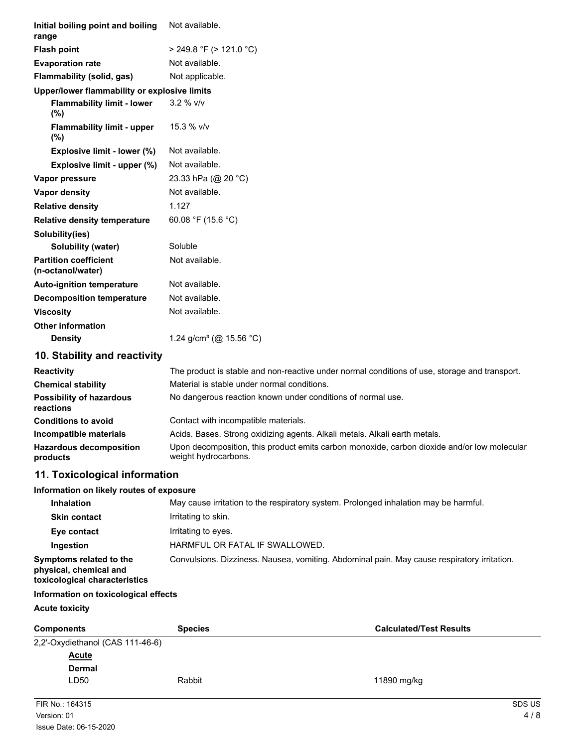| Initial boiling point and boiling<br>range                                         | Not available.                                                                                                      |
|------------------------------------------------------------------------------------|---------------------------------------------------------------------------------------------------------------------|
| <b>Flash point</b>                                                                 | $>$ 249.8 °F ( $>$ 121.0 °C)                                                                                        |
| <b>Evaporation rate</b>                                                            | Not available.                                                                                                      |
| Flammability (solid, gas)                                                          | Not applicable.                                                                                                     |
| Upper/lower flammability or explosive limits                                       |                                                                                                                     |
| <b>Flammability limit - lower</b><br>(%)                                           | $3.2 %$ V/V                                                                                                         |
| <b>Flammability limit - upper</b><br>$(\%)$                                        | 15.3 % v/v                                                                                                          |
| Explosive limit - lower (%)                                                        | Not available.                                                                                                      |
| Explosive limit - upper (%)                                                        | Not available.                                                                                                      |
| Vapor pressure                                                                     | 23.33 hPa (@ 20 °C)                                                                                                 |
| Vapor density                                                                      | Not available.                                                                                                      |
| <b>Relative density</b>                                                            | 1.127                                                                                                               |
| <b>Relative density temperature</b>                                                | 60.08 °F (15.6 °C)                                                                                                  |
| Solubility(ies)                                                                    |                                                                                                                     |
| <b>Solubility (water)</b>                                                          | Soluble                                                                                                             |
| <b>Partition coefficient</b><br>(n-octanol/water)                                  | Not available.                                                                                                      |
| <b>Auto-ignition temperature</b>                                                   | Not available.                                                                                                      |
| <b>Decomposition temperature</b>                                                   | Not available.                                                                                                      |
| <b>Viscosity</b>                                                                   | Not available.                                                                                                      |
| <b>Other information</b>                                                           |                                                                                                                     |
| <b>Density</b>                                                                     | 1.24 g/cm <sup>3</sup> (@ 15.56 °C)                                                                                 |
| 10. Stability and reactivity                                                       |                                                                                                                     |
| <b>Reactivity</b>                                                                  | The product is stable and non-reactive under normal conditions of use, storage and transport.                       |
| <b>Chemical stability</b>                                                          | Material is stable under normal conditions.                                                                         |
| <b>Possibility of hazardous</b><br>reactions                                       | No dangerous reaction known under conditions of normal use.                                                         |
| <b>Conditions to avoid</b>                                                         | Contact with incompatible materials.                                                                                |
| Incompatible materials                                                             | Acids. Bases. Strong oxidizing agents. Alkali metals. Alkali earth metals.                                          |
| <b>Hazardous decomposition</b><br>products                                         | Upon decomposition, this product emits carbon monoxide, carbon dioxide and/or low molecular<br>weight hydrocarbons. |
| 11. Toxicological information                                                      |                                                                                                                     |
| Information on likely routes of exposure                                           |                                                                                                                     |
| <b>Inhalation</b>                                                                  | May cause irritation to the respiratory system. Prolonged inhalation may be harmful.                                |
| <b>Skin contact</b>                                                                | Irritating to skin.                                                                                                 |
| Eye contact                                                                        | Irritating to eyes.                                                                                                 |
| Ingestion                                                                          | HARMFUL OR FATAL IF SWALLOWED.                                                                                      |
| Symptoms related to the<br>physical, chemical and<br>toxicological characteristics | Convulsions. Dizziness. Nausea, vomiting. Abdominal pain. May cause respiratory irritation.                         |
| Information on toxicological effects                                               |                                                                                                                     |
| <b>Acute toxicity</b>                                                              |                                                                                                                     |
| <b>Components</b>                                                                  | <b>Species</b><br><b>Calculated/Test Results</b>                                                                    |
| 2,2'-Oxydiethanol (CAS 111-46-6)                                                   |                                                                                                                     |

| Acute  |  |
|--------|--|
| Dermal |  |
| LD50   |  |

D<sub>50</sub> Rabbit Rabbit 200 Rabbit 11890 mg/kg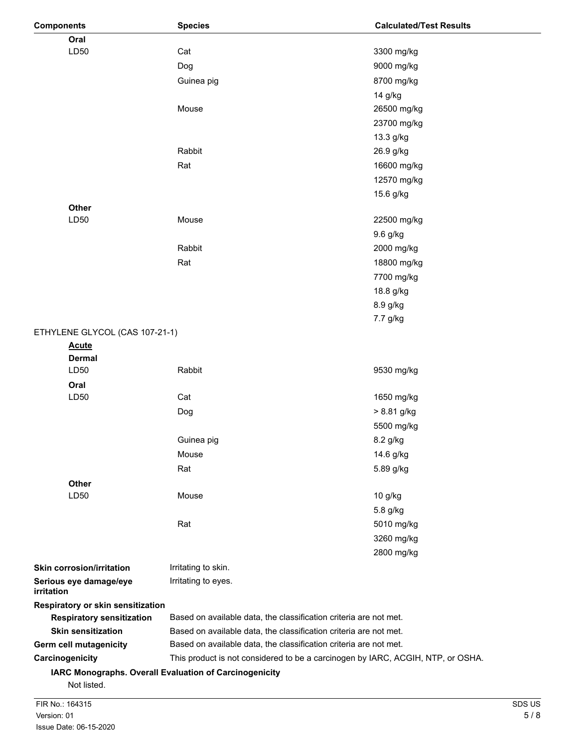| <b>Components</b>                                                     | <b>Species</b>                                                    | <b>Calculated/Test Results</b>                                                  |        |
|-----------------------------------------------------------------------|-------------------------------------------------------------------|---------------------------------------------------------------------------------|--------|
| Oral                                                                  |                                                                   |                                                                                 |        |
| LD50                                                                  | Cat                                                               | 3300 mg/kg                                                                      |        |
|                                                                       | Dog                                                               | 9000 mg/kg                                                                      |        |
|                                                                       | Guinea pig                                                        | 8700 mg/kg                                                                      |        |
|                                                                       |                                                                   | 14 g/kg                                                                         |        |
|                                                                       | Mouse                                                             | 26500 mg/kg                                                                     |        |
|                                                                       |                                                                   | 23700 mg/kg                                                                     |        |
|                                                                       |                                                                   | 13.3 g/kg                                                                       |        |
|                                                                       | Rabbit                                                            | 26.9 g/kg                                                                       |        |
|                                                                       | Rat                                                               | 16600 mg/kg                                                                     |        |
|                                                                       |                                                                   | 12570 mg/kg                                                                     |        |
|                                                                       |                                                                   | 15.6 g/kg                                                                       |        |
| Other                                                                 |                                                                   |                                                                                 |        |
| LD50                                                                  | Mouse                                                             | 22500 mg/kg                                                                     |        |
|                                                                       |                                                                   | 9.6 g/kg                                                                        |        |
|                                                                       | Rabbit                                                            | 2000 mg/kg                                                                      |        |
|                                                                       | Rat                                                               | 18800 mg/kg                                                                     |        |
|                                                                       |                                                                   | 7700 mg/kg                                                                      |        |
|                                                                       |                                                                   | 18.8 g/kg                                                                       |        |
|                                                                       |                                                                   |                                                                                 |        |
|                                                                       |                                                                   | 8.9 g/kg                                                                        |        |
|                                                                       |                                                                   | 7.7 g/kg                                                                        |        |
| ETHYLENE GLYCOL (CAS 107-21-1)                                        |                                                                   |                                                                                 |        |
| <b>Acute</b><br><b>Dermal</b>                                         |                                                                   |                                                                                 |        |
| LD50                                                                  | Rabbit                                                            | 9530 mg/kg                                                                      |        |
| Oral                                                                  |                                                                   |                                                                                 |        |
| LD50                                                                  | Cat                                                               | 1650 mg/kg                                                                      |        |
|                                                                       | Dog                                                               | > 8.81 g/kg                                                                     |        |
|                                                                       |                                                                   | 5500 mg/kg                                                                      |        |
|                                                                       | Guinea pig                                                        | 8.2 g/kg                                                                        |        |
|                                                                       | Mouse                                                             | 14.6 g/kg                                                                       |        |
|                                                                       |                                                                   |                                                                                 |        |
|                                                                       | Rat                                                               | 5.89 g/kg                                                                       |        |
| <b>Other</b><br>LD50                                                  |                                                                   |                                                                                 |        |
|                                                                       | Mouse                                                             | 10 g/kg                                                                         |        |
|                                                                       |                                                                   | 5.8 g/kg                                                                        |        |
|                                                                       | Rat                                                               | 5010 mg/kg                                                                      |        |
|                                                                       |                                                                   | 3260 mg/kg                                                                      |        |
|                                                                       |                                                                   | 2800 mg/kg                                                                      |        |
| <b>Skin corrosion/irritation</b>                                      | Irritating to skin.                                               |                                                                                 |        |
| Serious eye damage/eye                                                | Irritating to eyes.                                               |                                                                                 |        |
| <i>irritation</i>                                                     |                                                                   |                                                                                 |        |
| Respiratory or skin sensitization<br><b>Respiratory sensitization</b> | Based on available data, the classification criteria are not met. |                                                                                 |        |
| <b>Skin sensitization</b>                                             | Based on available data, the classification criteria are not met. |                                                                                 |        |
| Germ cell mutagenicity                                                | Based on available data, the classification criteria are not met. |                                                                                 |        |
| Carcinogenicity                                                       |                                                                   | This product is not considered to be a carcinogen by IARC, ACGIH, NTP, or OSHA. |        |
|                                                                       | IARC Monographs. Overall Evaluation of Carcinogenicity            |                                                                                 |        |
| Not listed.                                                           |                                                                   |                                                                                 |        |
| FIR No.: 164315                                                       |                                                                   |                                                                                 | SDS US |
| Version: 01                                                           |                                                                   |                                                                                 | 5/8    |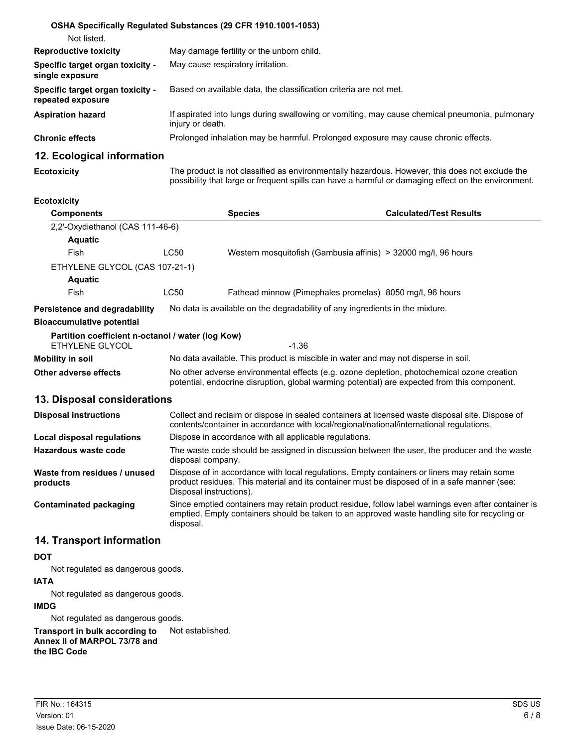|                                                       | <b>OSHA Specifically Requiated Substances (29 CFR 1910.1001-1053)</b>                                              |
|-------------------------------------------------------|--------------------------------------------------------------------------------------------------------------------|
| Not listed.                                           |                                                                                                                    |
| <b>Reproductive toxicity</b>                          | May damage fertility or the unborn child.                                                                          |
| Specific target organ toxicity -<br>single exposure   | May cause respiratory irritation.                                                                                  |
| Specific target organ toxicity -<br>repeated exposure | Based on available data, the classification criteria are not met.                                                  |
| <b>Aspiration hazard</b>                              | If aspirated into lungs during swallowing or vomiting, may cause chemical pneumonia, pulmonary<br>injury or death. |
| <b>Chronic effects</b>                                | Prolonged inhalation may be harmful. Prolonged exposure may cause chronic effects.                                 |
| 12. Ecological information                            |                                                                                                                    |

## **Ecotoxicity**

The product is not classified as environmentally hazardous. However, this does not exclude the possibility that large or frequent spills can have a harmful or damaging effect on the environment.

#### **Ecotoxicity**

| <b>Components</b>                                 |                                                                                                                                                                                            | <b>Species</b>                                                                     | <b>Calculated/Test Results</b> |
|---------------------------------------------------|--------------------------------------------------------------------------------------------------------------------------------------------------------------------------------------------|------------------------------------------------------------------------------------|--------------------------------|
| 2.2'-Oxydiethanol (CAS 111-46-6)                  |                                                                                                                                                                                            |                                                                                    |                                |
| <b>Aquatic</b>                                    |                                                                                                                                                                                            |                                                                                    |                                |
| Fish                                              | LC50                                                                                                                                                                                       | Western mosquitofish (Gambusia affinis) > 32000 mg/l, 96 hours                     |                                |
| ETHYLENE GLYCOL (CAS 107-21-1)                    |                                                                                                                                                                                            |                                                                                    |                                |
| <b>Aquatic</b>                                    |                                                                                                                                                                                            |                                                                                    |                                |
| Fish                                              | LC50                                                                                                                                                                                       | Fathead minnow (Pimephales promelas) 8050 mg/l, 96 hours                           |                                |
| Persistence and degradability                     |                                                                                                                                                                                            | No data is available on the degradability of any ingredients in the mixture.       |                                |
| <b>Bioaccumulative potential</b>                  |                                                                                                                                                                                            |                                                                                    |                                |
| Partition coefficient n-octanol / water (log Kow) |                                                                                                                                                                                            |                                                                                    |                                |
| FTHYLENE GLYCOL                                   |                                                                                                                                                                                            | -1.36                                                                              |                                |
| Mobility in soil                                  |                                                                                                                                                                                            | No data available. This product is miscible in water and may not disperse in soil. |                                |
| Other adverse effects                             | No other adverse environmental effects (e.g. ozone depletion, photochemical ozone creation<br>potential, endocrine disruption, global warming potential) are expected from this component. |                                                                                    |                                |

### **13. Disposal considerations**

| <b>Disposal instructions</b>             | Collect and reclaim or dispose in sealed containers at licensed waste disposal site. Dispose of<br>contents/container in accordance with local/regional/national/international regulations.                            |
|------------------------------------------|------------------------------------------------------------------------------------------------------------------------------------------------------------------------------------------------------------------------|
| Local disposal regulations               | Dispose in accordance with all applicable regulations.                                                                                                                                                                 |
| Hazardous waste code                     | The waste code should be assigned in discussion between the user, the producer and the waste<br>disposal company.                                                                                                      |
| Waste from residues / unused<br>products | Dispose of in accordance with local regulations. Empty containers or liners may retain some<br>product residues. This material and its container must be disposed of in a safe manner (see:<br>Disposal instructions). |
| Contaminated packaging                   | Since emptied containers may retain product residue, follow label warnings even after container is<br>emptied. Empty containers should be taken to an approved waste handling site for recycling or<br>disposal.       |

### **14. Transport information**

### **DOT**

Not regulated as dangerous goods.

### **IATA**

Not regulated as dangerous goods.

### **IMDG**

Not regulated as dangerous goods.

**Transport in bulk according to** Not established. **Annex II of MARPOL 73/78 and the IBC Code**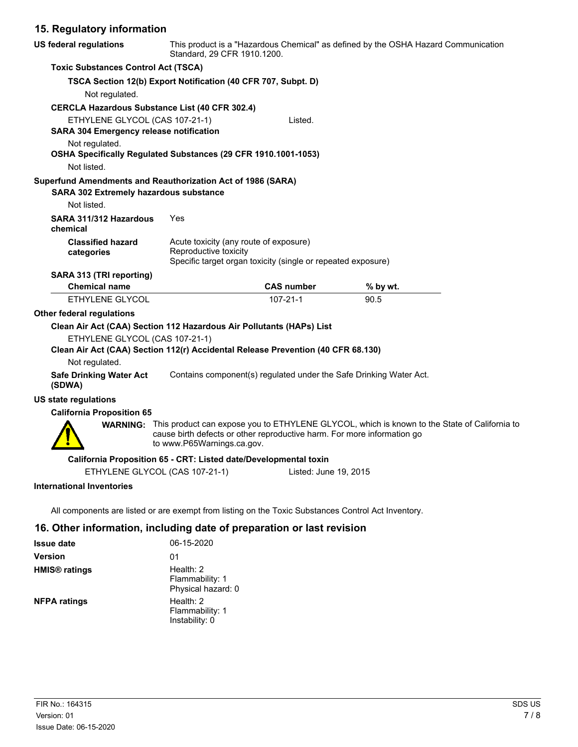# **15. Regulatory information**

| <b>US federal regulations</b>                                                                                      | This product is a "Hazardous Chemical" as defined by the OSHA Hazard Communication<br>Standard, 29 CFR 1910.1200. |                                                                         |                                                                                                       |  |
|--------------------------------------------------------------------------------------------------------------------|-------------------------------------------------------------------------------------------------------------------|-------------------------------------------------------------------------|-------------------------------------------------------------------------------------------------------|--|
| <b>Toxic Substances Control Act (TSCA)</b>                                                                         |                                                                                                                   |                                                                         |                                                                                                       |  |
|                                                                                                                    | TSCA Section 12(b) Export Notification (40 CFR 707, Subpt. D)                                                     |                                                                         |                                                                                                       |  |
| Not regulated.                                                                                                     |                                                                                                                   |                                                                         |                                                                                                       |  |
| <b>CERCLA Hazardous Substance List (40 CFR 302.4)</b>                                                              |                                                                                                                   |                                                                         |                                                                                                       |  |
| ETHYLENE GLYCOL (CAS 107-21-1)                                                                                     |                                                                                                                   | Listed.                                                                 |                                                                                                       |  |
| <b>SARA 304 Emergency release notification</b>                                                                     |                                                                                                                   |                                                                         |                                                                                                       |  |
| Not regulated.<br>OSHA Specifically Regulated Substances (29 CFR 1910.1001-1053)<br>Not listed.                    |                                                                                                                   |                                                                         |                                                                                                       |  |
| Superfund Amendments and Reauthorization Act of 1986 (SARA)<br><b>SARA 302 Extremely hazardous substance</b>       |                                                                                                                   |                                                                         |                                                                                                       |  |
| Not listed.                                                                                                        |                                                                                                                   |                                                                         |                                                                                                       |  |
| SARA 311/312 Hazardous<br>chemical                                                                                 | Yes                                                                                                               |                                                                         |                                                                                                       |  |
| <b>Classified hazard</b><br>categories                                                                             | Acute toxicity (any route of exposure)<br>Reproductive toxicity                                                   | Specific target organ toxicity (single or repeated exposure)            |                                                                                                       |  |
| SARA 313 (TRI reporting)                                                                                           |                                                                                                                   |                                                                         |                                                                                                       |  |
| <b>Chemical name</b>                                                                                               |                                                                                                                   | <b>CAS number</b>                                                       | % by wt.                                                                                              |  |
| ETHYLENE GLYCOL                                                                                                    |                                                                                                                   | $107 - 21 - 1$                                                          | 90.5                                                                                                  |  |
| <b>Other federal regulations</b>                                                                                   |                                                                                                                   |                                                                         |                                                                                                       |  |
| Clean Air Act (CAA) Section 112 Hazardous Air Pollutants (HAPs) List                                               |                                                                                                                   |                                                                         |                                                                                                       |  |
| ETHYLENE GLYCOL (CAS 107-21-1)<br>Clean Air Act (CAA) Section 112(r) Accidental Release Prevention (40 CFR 68.130) |                                                                                                                   |                                                                         |                                                                                                       |  |
| Not regulated.                                                                                                     |                                                                                                                   |                                                                         |                                                                                                       |  |
| <b>Safe Drinking Water Act</b><br>(SDWA)                                                                           |                                                                                                                   | Contains component(s) regulated under the Safe Drinking Water Act.      |                                                                                                       |  |
| <b>US state regulations</b>                                                                                        |                                                                                                                   |                                                                         |                                                                                                       |  |
| <b>California Proposition 65</b>                                                                                   |                                                                                                                   |                                                                         |                                                                                                       |  |
|                                                                                                                    | to www.P65Warnings.ca.gov.                                                                                        | cause birth defects or other reproductive harm. For more information go | WARNING: This product can expose you to ETHYLENE GLYCOL, which is known to the State of California to |  |
|                                                                                                                    | California Proposition 65 - CRT: Listed date/Developmental toxin                                                  |                                                                         |                                                                                                       |  |
|                                                                                                                    | ETHYLENE GLYCOL (CAS 107-21-1)                                                                                    | Listed: June 19, 2015                                                   |                                                                                                       |  |
| <b>International Inventories</b>                                                                                   |                                                                                                                   |                                                                         |                                                                                                       |  |
| All components are listed or are exempt from listing on the Toxic Substances Control Act Inventory.                |                                                                                                                   |                                                                         |                                                                                                       |  |
| 16. Other information, including date of preparation or last revision                                              |                                                                                                                   |                                                                         |                                                                                                       |  |

| <b>Issue date</b>               | 06-15-2020                                           |
|---------------------------------|------------------------------------------------------|
| <b>Version</b>                  | 01                                                   |
| <b>HMIS<sup>®</sup></b> ratings | Health: $2$<br>Flammability: 1<br>Physical hazard: 0 |
| <b>NFPA ratings</b>             | Health: $2$<br>Flammability: 1<br>Instability: 0     |